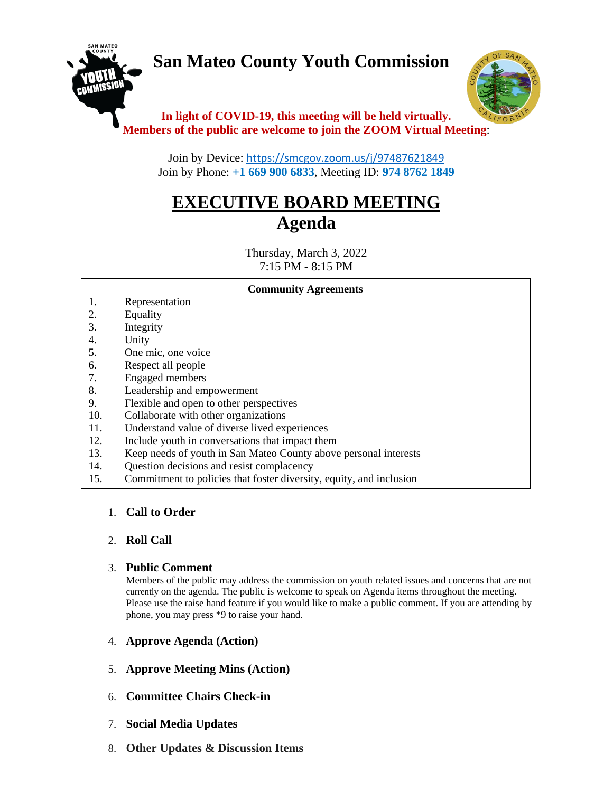# **San Mateo County Youth Commission**





## **In light of COVID-19, this meeting will be held virtually. Members of the public are welcome to join the ZOOM Virtual Meeting**:

Join by Device: <https://smcgov.zoom.us/j/97487621849> Join by Phone: **+1 669 900 6833**, Meeting ID: **974 8762 1849**

## **EXECUTIVE BOARD MEETING Agenda**

Thursday, March 3, 2022 7:15 PM - 8:15 PM

#### **Community Agreements**

- 1. Representation
- 2. Equality
- 3. Integrity
- 4. Unity
- 5. One mic, one voice
- 6. Respect all people
- 7. Engaged members
- 8. Leadership and empowerment
- 9. Flexible and open to other perspectives
- 10. Collaborate with other organizations
- 11. Understand value of diverse lived experiences
- 12. Include youth in conversations that impact them
- 13. Keep needs of youth in San Mateo County above personal interests
- 14. Question decisions and resist complacency
- 15. Commitment to policies that foster diversity, equity, and inclusion

## 1. **Call to Order**

## 2. **Roll Call**

## 3. **Public Comment**

Members of the public may address the commission on youth related issues and concerns that are not currently on the agenda. The public is welcome to speak on Agenda items throughout the meeting. Please use the raise hand feature if you would like to make a public comment. If you are attending by phone, you may press \*9 to raise your hand.

- 4. **Approve Agenda (Action)**
- 5. **Approve Meeting Mins (Action)**
- 6. **Committee Chairs Check-in**
- 7. **Social Media Updates**
- 8. **Other Updates & Discussion Items**